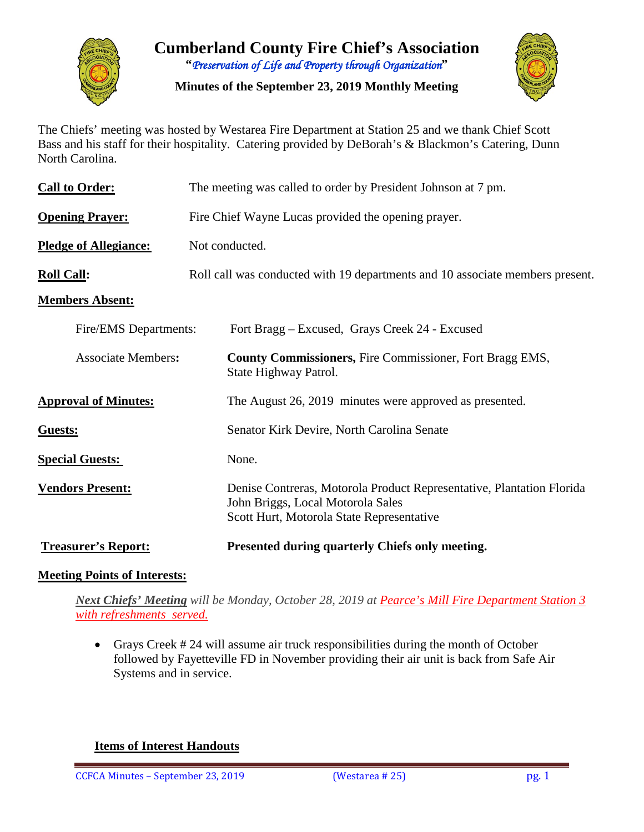

**Cumberland County Fire Chief's Association "***Preservation of Life and Property through Organization***"**

**Minutes of the September 23, 2019 Monthly Meeting**



The Chiefs' meeting was hosted by Westarea Fire Department at Station 25 and we thank Chief Scott Bass and his staff for their hospitality. Catering provided by DeBorah's & Blackmon's Catering, Dunn North Carolina.

| <b>Call to Order:</b>        | The meeting was called to order by President Johnson at 7 pm.                                                                                           |  |  |  |  |  |  |  |
|------------------------------|---------------------------------------------------------------------------------------------------------------------------------------------------------|--|--|--|--|--|--|--|
| <b>Opening Prayer:</b>       | Fire Chief Wayne Lucas provided the opening prayer.                                                                                                     |  |  |  |  |  |  |  |
| <b>Pledge of Allegiance:</b> | Not conducted.                                                                                                                                          |  |  |  |  |  |  |  |
| <b>Roll Call:</b>            | Roll call was conducted with 19 departments and 10 associate members present.                                                                           |  |  |  |  |  |  |  |
| <b>Members Absent:</b>       |                                                                                                                                                         |  |  |  |  |  |  |  |
| Fire/EMS Departments:        | Fort Bragg – Excused, Grays Creek 24 - Excused                                                                                                          |  |  |  |  |  |  |  |
| <b>Associate Members:</b>    | <b>County Commissioners, Fire Commissioner, Fort Bragg EMS,</b><br>State Highway Patrol.                                                                |  |  |  |  |  |  |  |
| <b>Approval of Minutes:</b>  | The August 26, 2019 minutes were approved as presented.                                                                                                 |  |  |  |  |  |  |  |
| Guests:                      | Senator Kirk Devire, North Carolina Senate                                                                                                              |  |  |  |  |  |  |  |
| <b>Special Guests:</b>       | None.                                                                                                                                                   |  |  |  |  |  |  |  |
| <b>Vendors Present:</b>      | Denise Contreras, Motorola Product Representative, Plantation Florida<br>John Briggs, Local Motorola Sales<br>Scott Hurt, Motorola State Representative |  |  |  |  |  |  |  |
| <b>Treasurer's Report:</b>   | Presented during quarterly Chiefs only meeting.                                                                                                         |  |  |  |  |  |  |  |

### **Meeting Points of Interests:**

*Next Chiefs' Meeting will be Monday, October 28, 2019 at Pearce's Mill Fire Department Station 3 with refreshments served.*

• Grays Creek # 24 will assume air truck responsibilities during the month of October followed by Fayetteville FD in November providing their air unit is back from Safe Air Systems and in service.

**Items of Interest Handouts**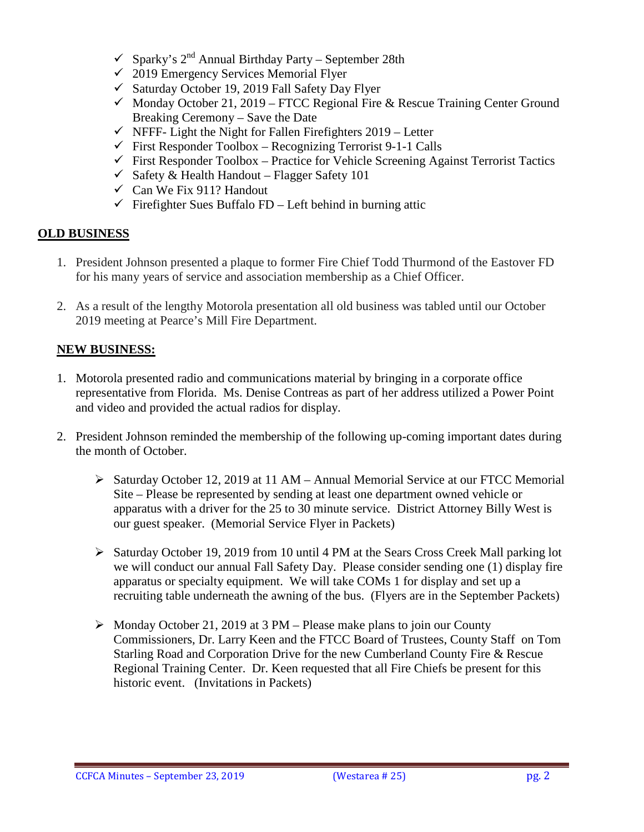- $\checkmark$  Sparky's 2<sup>nd</sup> Annual Birthday Party September 28th
- $\checkmark$  2019 Emergency Services Memorial Flyer
- $\checkmark$  Saturday October 19, 2019 Fall Safety Day Flyer
- $\checkmark$  Monday October 21, 2019 FTCC Regional Fire & Rescue Training Center Ground Breaking Ceremony – Save the Date
- $\checkmark$  NFFF- Light the Night for Fallen Firefighters 2019 Letter
- $\checkmark$  First Responder Toolbox Recognizing Terrorist 9-1-1 Calls
- $\checkmark$  First Responder Toolbox Practice for Vehicle Screening Against Terrorist Tactics
- $\checkmark$  Safety & Health Handout Flagger Safety 101
- $\checkmark$  Can We Fix 911? Handout
- $\checkmark$  Firefighter Sues Buffalo FD Left behind in burning attic

# **OLD BUSINESS**

- 1. President Johnson presented a plaque to former Fire Chief Todd Thurmond of the Eastover FD for his many years of service and association membership as a Chief Officer.
- 2. As a result of the lengthy Motorola presentation all old business was tabled until our October 2019 meeting at Pearce's Mill Fire Department.

# **NEW BUSINESS:**

- 1. Motorola presented radio and communications material by bringing in a corporate office representative from Florida. Ms. Denise Contreas as part of her address utilized a Power Point and video and provided the actual radios for display.
- 2. President Johnson reminded the membership of the following up-coming important dates during the month of October.
	- Saturday October 12, 2019 at 11 AM Annual Memorial Service at our FTCC Memorial Site – Please be represented by sending at least one department owned vehicle or apparatus with a driver for the 25 to 30 minute service. District Attorney Billy West is our guest speaker. (Memorial Service Flyer in Packets)
	- $\triangleright$  Saturday October 19, 2019 from 10 until 4 PM at the Sears Cross Creek Mall parking lot we will conduct our annual Fall Safety Day. Please consider sending one (1) display fire apparatus or specialty equipment. We will take COMs 1 for display and set up a recruiting table underneath the awning of the bus. (Flyers are in the September Packets)
	- $\triangleright$  Monday October 21, 2019 at 3 PM Please make plans to join our County Commissioners, Dr. Larry Keen and the FTCC Board of Trustees, County Staff on Tom Starling Road and Corporation Drive for the new Cumberland County Fire & Rescue Regional Training Center. Dr. Keen requested that all Fire Chiefs be present for this historic event. (Invitations in Packets)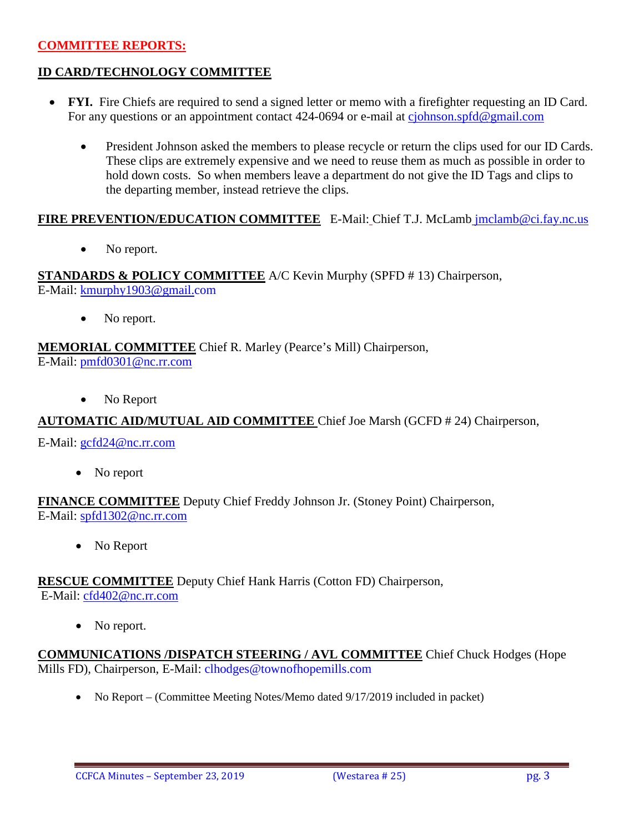### **COMMITTEE REPORTS:**

### **ID CARD/TECHNOLOGY COMMITTEE**

- **FYI.** Fire Chiefs are required to send a signed letter or memo with a firefighter requesting an ID Card. For any questions or an appointment contact 424-0694 or e-mail at [cjohnson.spfd@gmail.com](mailto:cjohnson.spfd@gmail.com)
	- President Johnson asked the members to please recycle or return the clips used for our ID Cards. These clips are extremely expensive and we need to reuse them as much as possible in order to hold down costs. So when members leave a department do not give the ID Tags and clips to the departing member, instead retrieve the clips.

### **FIRE PREVENTION/EDUCATION COMMITTEE** E-Mail: Chief T.J. McLamb [jmclamb@ci.fay.nc.us](mailto:jmclamb@ci.fay.nc.us)

• No report.

**STANDARDS & POLICY COMMITTEE** A/C Kevin Murphy (SPFD # 13) Chairperson, E-Mail: [kmurphy1903@gmail.com](mailto:kmurphy1903@gmail.com)

• No report.

#### **MEMORIAL COMMITTEE** Chief R. Marley (Pearce's Mill) Chairperson, E-Mail: [pmfd0301@nc.rr.com](mailto:pmfd0301@nc.rr.com)

No Report

### **AUTOMATIC AID/MUTUAL AID COMMITTEE** Chief Joe Marsh (GCFD # 24) Chairperson,

E-Mail: [gcfd24@nc.rr.com](mailto:gcfd24@nc.rr.com)

• No report

#### **FINANCE COMMITTEE** Deputy Chief Freddy Johnson Jr. (Stoney Point) Chairperson, E-Mail: [spfd1302@nc.rr.com](mailto:spfd1302@nc.rr.com)

• No Report

#### **RESCUE COMMITTEE** Deputy Chief Hank Harris (Cotton FD) Chairperson, E-Mail: [cfd402@nc.rr.com](mailto:cfd402@nc.rr.com)

• No report.

### **COMMUNICATIONS /DISPATCH STEERING / AVL COMMITTEE** Chief Chuck Hodges (Hope Mills FD), Chairperson, E-Mail: clhodges@townofhopemills.com

• No Report – (Committee Meeting Notes/Memo dated 9/17/2019 included in packet)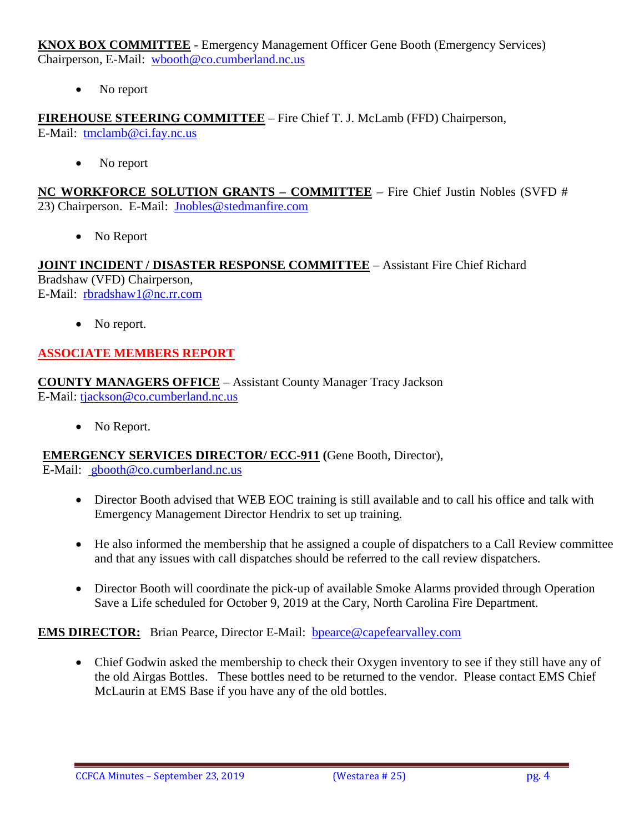**KNOX BOX COMMITTEE** - Emergency Management Officer Gene Booth (Emergency Services) Chairperson, E-Mail: [wbooth@co.cumberland.nc.us](mailto:wbooth@co.cumberland.nc.us)

No report

**FIREHOUSE STEERING COMMITTEE** – Fire Chief T. J. McLamb (FFD) Chairperson, E-Mail: [tmclamb@ci.fay.nc.us](mailto:tmclamb@ci.fay.nc.us)

• No report

**NC WORKFORCE SOLUTION GRANTS – COMMITTEE** – Fire Chief Justin Nobles (SVFD # 23) Chairperson. E-Mail: [Jnobles@stedmanfire.com](mailto:Jnobles@stedmanfire.com)

• No Report

**JOINT INCIDENT / DISASTER RESPONSE COMMITTEE** – Assistant Fire Chief Richard Bradshaw (VFD) Chairperson, E-Mail: [rbradshaw1@nc.rr.com](mailto:rbradshaw1@nc.rr.com)

• No report.

# **ASSOCIATE MEMBERS REPORT**

**COUNTY MANAGERS OFFICE** – Assistant County Manager Tracy Jackson E-Mail: [tjackson@co.cumberland.nc.us](mailto:tjackson@co.cumberland.nc.us)

• No Report.

### **EMERGENCY SERVICES DIRECTOR/ ECC-911 (**Gene Booth, Director),

E-Mail: [gbooth@co.cumberland.nc.us](mailto:gbooth@co.cumberland.nc.us)

- Director Booth advised that WEB EOC training is still available and to call his office and talk with Emergency Management Director Hendrix to set up training.
- He also informed the membership that he assigned a couple of dispatchers to a Call Review committee and that any issues with call dispatches should be referred to the call review dispatchers.
- Director Booth will coordinate the pick-up of available Smoke Alarms provided through Operation Save a Life scheduled for October 9, 2019 at the Cary, North Carolina Fire Department.

# **EMS DIRECTOR:** Brian Pearce, Director E-Mail: bpearce@capefearvalley.com

• Chief Godwin asked the membership to check their Oxygen inventory to see if they still have any of the old Airgas Bottles. These bottles need to be returned to the vendor. Please contact EMS Chief McLaurin at EMS Base if you have any of the old bottles.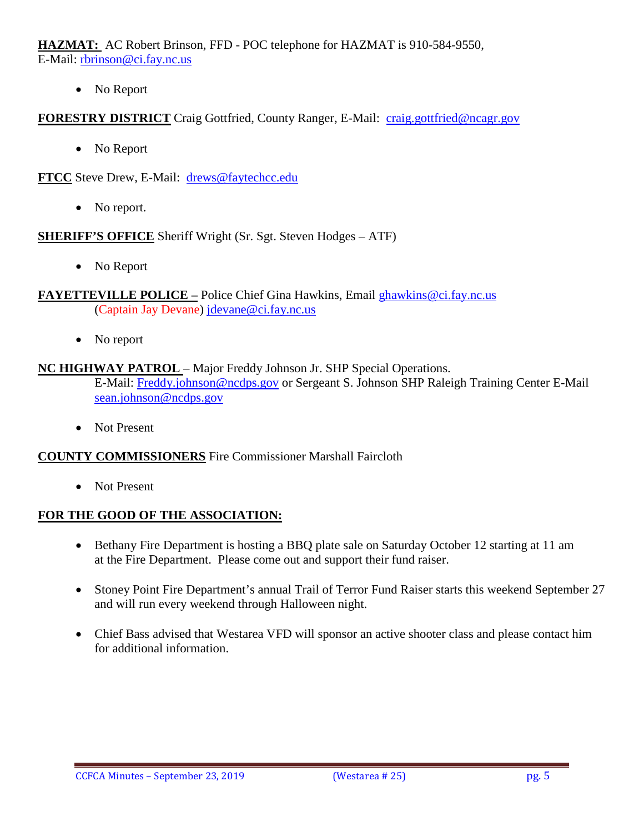**HAZMAT:** AC Robert Brinson, FFD - POC telephone for HAZMAT is 910-584-9550, E-Mail: [rbrinson@ci.fay.nc.us](mailto:rbrinson@ci.fay.nc.us)

• No Report

# **FORESTRY DISTRICT** Craig Gottfried, County Ranger, E-Mail: [craig.gottfried@ncagr.gov](mailto:craig.gottfried@ncagr.gov)

• No Report

**FTCC** Steve Drew, E-Mail: [drews@faytechcc.edu](mailto:drews@faytechcc.edu)

• No report.

### **SHERIFF'S OFFICE** Sheriff Wright (Sr. Sgt. Steven Hodges – ATF)

• No Report

### **FAYETTEVILLE POLICE –** Police Chief Gina Hawkins, Email [ghawkins@ci.fay.nc.us](mailto:ghawkins@ci.fay.nc.us)  (Captain Jay Devane) [jdevane@ci.fay.nc.us](mailto:jdevane@ci.fay.nc.us)

• No report

### **NC HIGHWAY PATROL** – Major Freddy Johnson Jr. SHP Special Operations.

E-Mail: [Freddy.johnson@ncdps.gov](mailto:Freddy.johnson@ncdps.gov) or Sergeant S. Johnson SHP Raleigh Training Center E-Mail [sean.johnson@ncdps.gov](mailto:sean.johnson@ncdps.gov)

• Not Present

### **COUNTY COMMISSIONERS** Fire Commissioner Marshall Faircloth

• Not Present

# **FOR THE GOOD OF THE ASSOCIATION:**

- Bethany Fire Department is hosting a BBO plate sale on Saturday October 12 starting at 11 am at the Fire Department. Please come out and support their fund raiser.
- Stoney Point Fire Department's annual Trail of Terror Fund Raiser starts this weekend September 27 and will run every weekend through Halloween night.
- Chief Bass advised that Westarea VFD will sponsor an active shooter class and please contact him for additional information.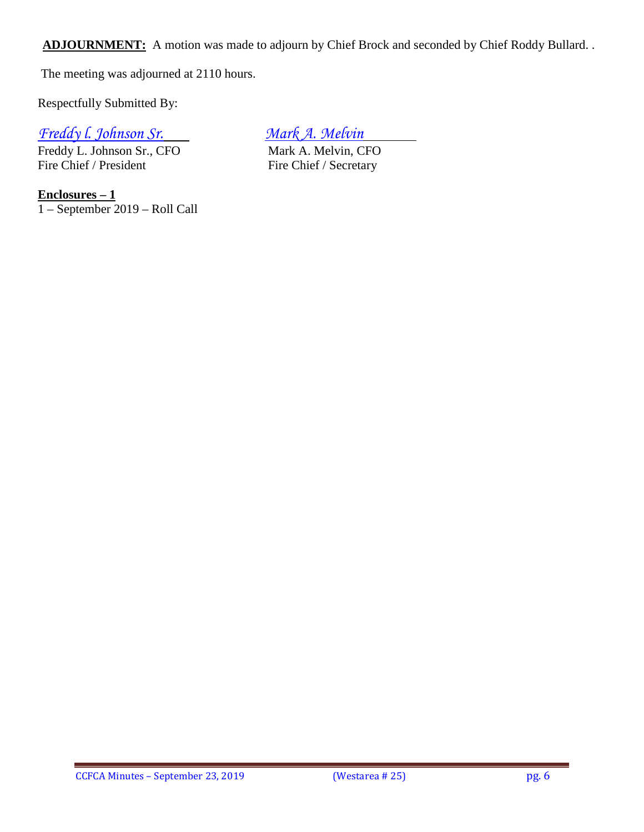ADJOURNMENT: A motion was made to adjourn by Chief Brock and seconded by Chief Roddy Bullard. .

The meeting was adjourned at 2110 hours.

Respectfully Submitted By:

*Freddy l. Johnson Sr. Mark A. Melvin*

Freddy L. Johnson Sr., CFO<br>
Fire Chief / President<br>
Fire Chief / Secretary

Fire Chief / Secretary

**Enclosures – 1** 1 – September 2019 – Roll Call